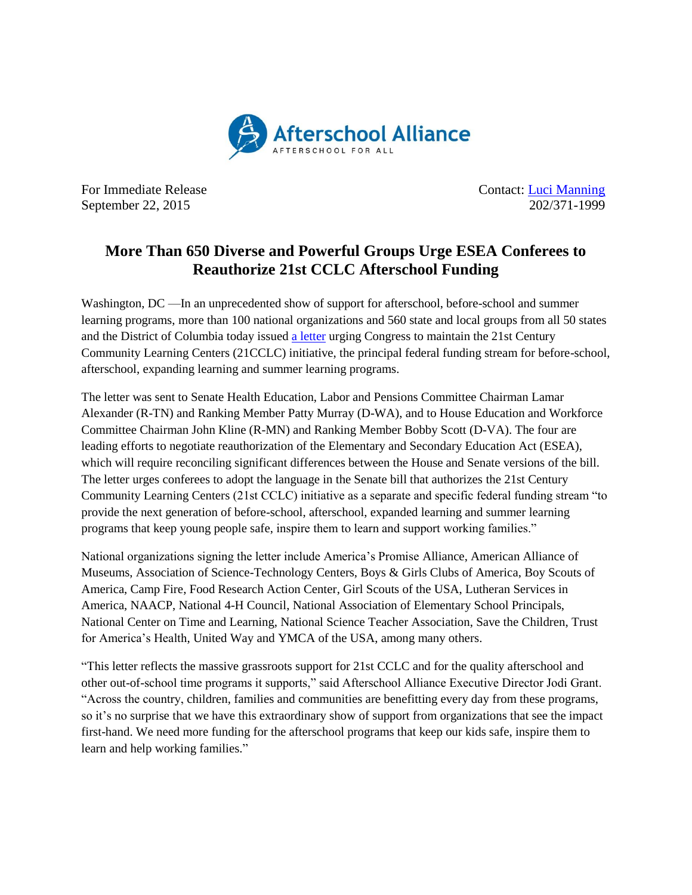

For Immediate Release Contact: [Luci Manning](mailto:luci@prsolutionsdc.com) September 22, 2015 202/371-1999

## **More Than 650 Diverse and Powerful Groups Urge ESEA Conferees to Reauthorize 21st CCLC Afterschool Funding**

Washington, DC —In an unprecedented show of support for afterschool, before-school and summer learning programs, more than 100 national organizations and 560 state and local groups from all 50 states and the District of Columbia today issued a [letter](http://www.afterschoolalliance.org/documents/Policy%20and%20Action/21stCCLC%20Sign%20On%20Letter%20ESEA%20ConfComm.pdf) urging Congress to maintain the 21st Century Community Learning Centers (21CCLC) initiative, the principal federal funding stream for before-school, afterschool, expanding learning and summer learning programs.

The letter was sent to Senate Health Education, Labor and Pensions Committee Chairman Lamar Alexander (R-TN) and Ranking Member Patty Murray (D-WA), and to House Education and Workforce Committee Chairman John Kline (R-MN) and Ranking Member Bobby Scott (D-VA). The four are leading efforts to negotiate reauthorization of the Elementary and Secondary Education Act (ESEA), which will require reconciling significant differences between the House and Senate versions of the bill. The letter urges conferees to adopt the language in the Senate bill that authorizes the 21st Century Community Learning Centers (21st CCLC) initiative as a separate and specific federal funding stream "to provide the next generation of before-school, afterschool, expanded learning and summer learning programs that keep young people safe, inspire them to learn and support working families."

National organizations signing the letter include America's Promise Alliance, American Alliance of Museums, Association of Science-Technology Centers, Boys & Girls Clubs of America, Boy Scouts of America, Camp Fire, Food Research Action Center, Girl Scouts of the USA, Lutheran Services in America, NAACP, National 4-H Council, National Association of Elementary School Principals, National Center on Time and Learning, National Science Teacher Association, Save the Children, Trust for America's Health, United Way and YMCA of the USA, among many others.

"This letter reflects the massive grassroots support for 21st CCLC and for the quality afterschool and other out-of-school time programs it supports," said Afterschool Alliance Executive Director Jodi Grant. "Across the country, children, families and communities are benefitting every day from these programs, so it's no surprise that we have this extraordinary show of support from organizations that see the impact first-hand. We need more funding for the afterschool programs that keep our kids safe, inspire them to learn and help working families."